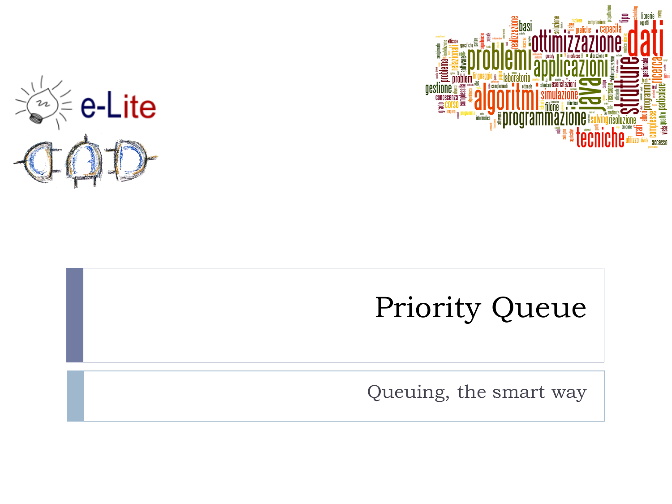



#### Priority Queue

Queuing, the smart way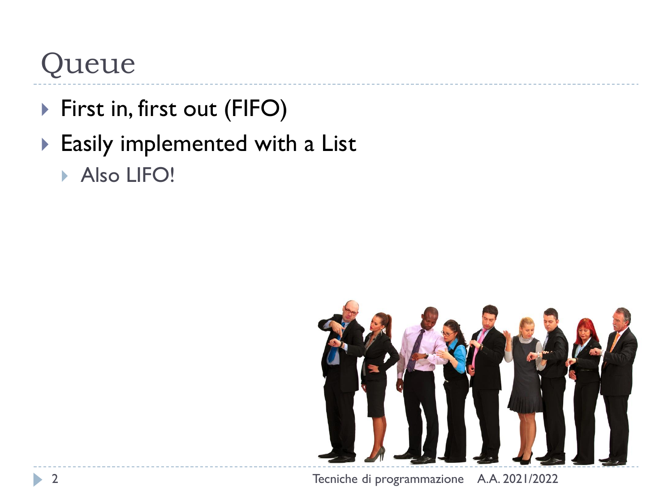- ▶ First in, first out (FIFO)
- ▶ Easily implemented with a List
	- Also LIFO!



2 Tecniche di programmazione A.A. 2021/2022

ь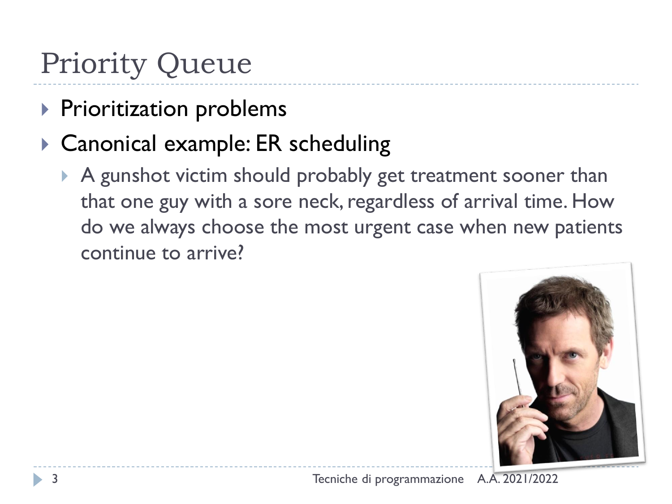# Priority Queue

- $\blacktriangleright$  Prioritization problems
- ▶ Canonical example: ER scheduling
	- A gunshot victim should probably get treatment sooner than that one guy with a sore neck, regardless of arrival time. How do we always choose the most urgent case when new patients continue to arrive?

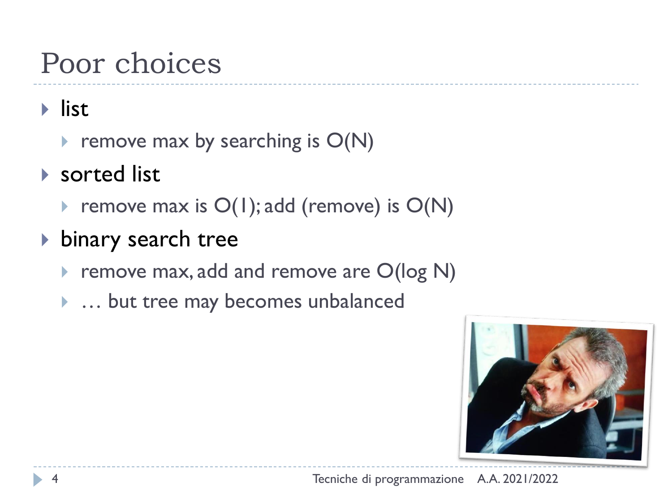## Poor choices

#### $\blacktriangleright$  list

- remove max by searching is  $O(N)$
- ▶ sorted list
	- remove max is  $O(1)$ ; add (remove) is  $O(N)$
- **binary search tree** 
	- ▶ remove max, add and remove are O(log N)
	- … but tree may becomes unbalanced

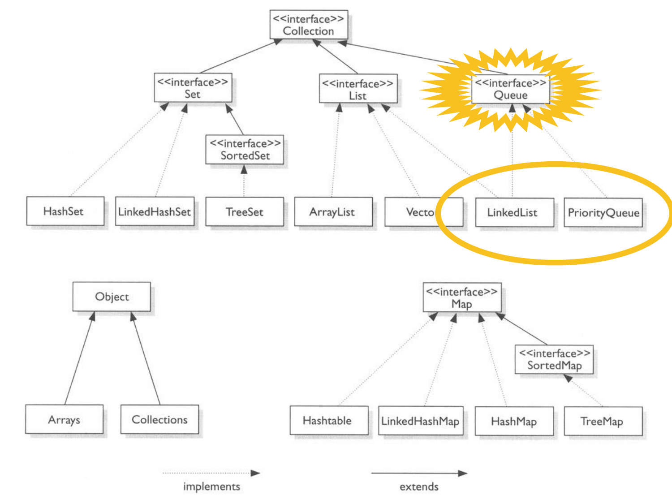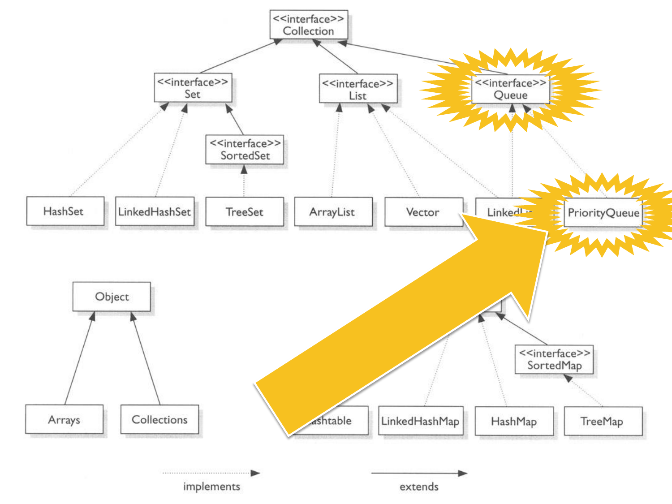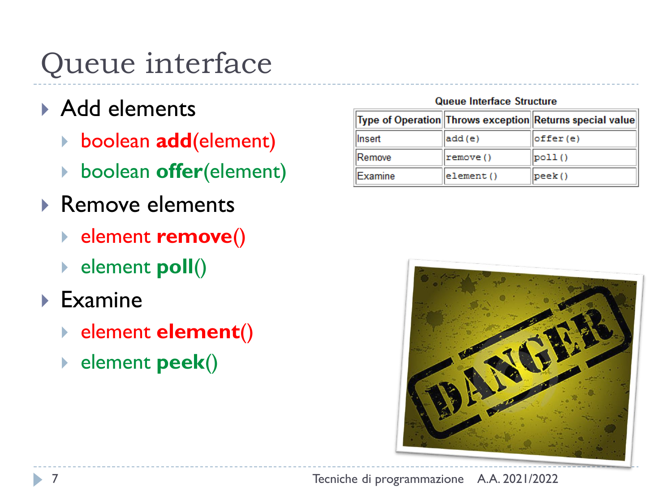# Queue interface

- ▶ Add elements
	- boolean **add**(element)
	- boolean **offer**(element)
- ▶ Remove elements
	- **Example 1 ≥** element **remove**()
	- ▶ element poll()
- Examine
	- **Example 1 Extraorm + Extraorm + Extraorm + Extraorm + Extraorm + Extraorm + Extraorm + Extraorm + Extraorm + Extraorm + Extraorm + Extraorm + Extraorm + Extraorm + Extraorm + Extraorm + Extraorm + Extraorm + Extraorm + E**
	- ▶ element peek()

| Queue Interface Structure |  |  |
|---------------------------|--|--|
|---------------------------|--|--|

|         |                 | Type of Operation Throws exception Returns special value |
|---------|-----------------|----------------------------------------------------------|
| llnsert | add (e)         | offer(e)                                                 |
| lRemove | $ $ remove $()$ | pol1()                                                   |
| Examine | element()       | $ {\rm peak}()$                                          |

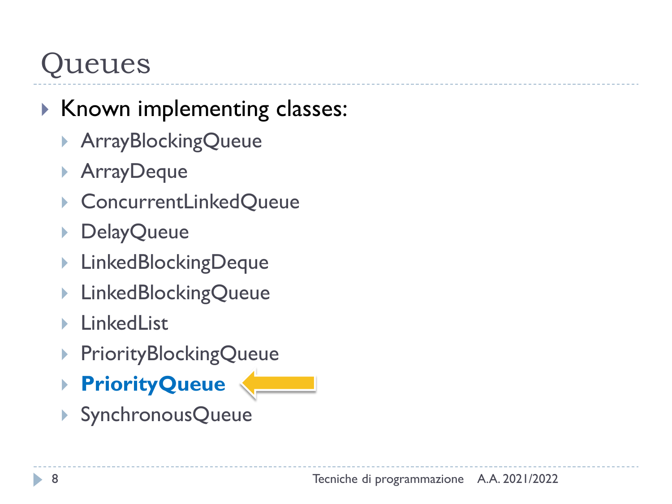- ▶ Known implementing classes:
	- ArrayBlockingQueue
	- ArrayDeque
	- ▶ ConcurrentLinkedQueue
	- DelayQueue
	- **LinkedBlockingDeque**
	- LinkedBlockingQueue
	- ▶ LinkedList
	- ▶ PriorityBlockingQueue
	- **PriorityQueue**
	- SynchronousQueue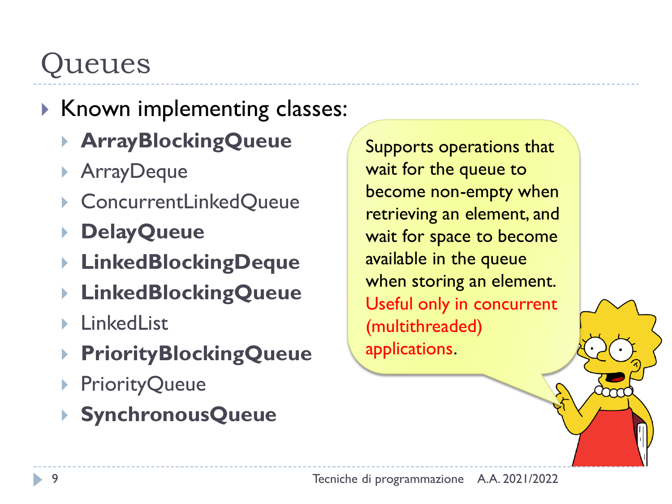- ▶ Known implementing classes:
	- **ArrayBlockingQueue**
	- ArrayDeque
	- ▶ ConcurrentLinkedQueue
	- **DelayQueue**
	- **LinkedBlockingDeque**
	- **LinkedBlockingQueue**
	- **LinkedList**
	- **PriorityBlockingQueue**
	- ▶ PriorityQueue
	- **SynchronousQueue**

Supports operations that wait for the queue to become non-empty when retrieving an element, and wait for space to become available in the queue when storing an element. Useful only in concurrent (multithreaded) applications.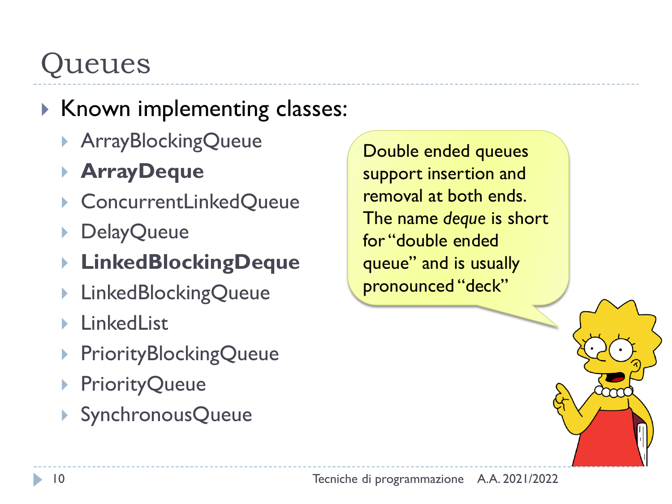- ▶ Known implementing classes:
	- ArrayBlockingQueue
	- **ArrayDeque**
	- ▶ ConcurrentLinkedQueue
	- DelayQueue
	- **LinkedBlockingDeque**
	- LinkedBlockingQueue
	- **LinkedList**
	- ▶ PriorityBlockingQueue
	- ▶ PriorityQueue
	- SynchronousQueue

Double ended queues support insertion and removal at both ends. The name *deque* is short for "double ended queue" and is usually pronounced "deck"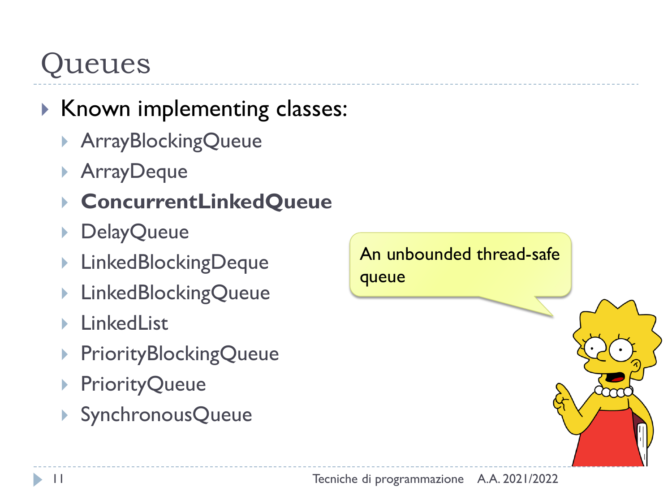- ▶ Known implementing classes:
	- ArrayBlockingQueue
	- ArrayDeque
	- **ConcurrentLinkedQueue**
	- DelayQueue
	- ▶ LinkedBlockingDeque
	- LinkedBlockingQueue
	- ▶ LinkedList
	- ▶ PriorityBlockingQueue
	- ▶ PriorityQueue
	- SynchronousQueue

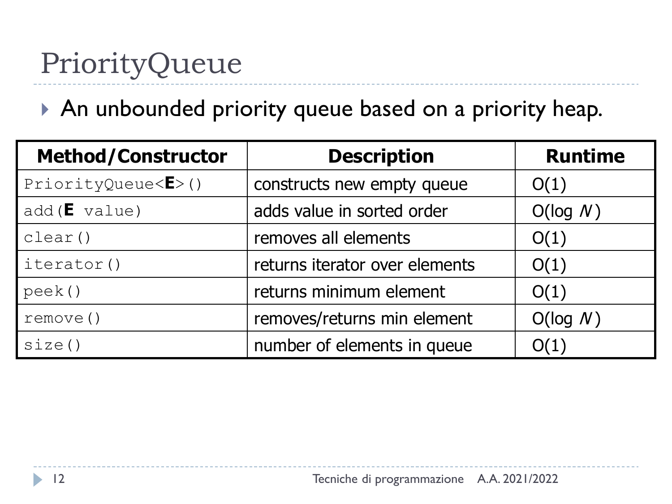# PriorityQueue

#### An unbounded priority queue based on a priority heap.

| <b>Method/Constructor</b>       | <b>Description</b>             | <b>Runtime</b> |
|---------------------------------|--------------------------------|----------------|
| PriorityQueue < E > ()          | constructs new empty queue     | O(1)           |
| $add(\mathbf{E} \text{ value})$ | adds value in sorted order     | O(log N)       |
| clear()                         | removes all elements           | O(1)           |
| iterator()                      | returns iterator over elements | O(1)           |
| peek()                          | returns minimum element        | O(1)           |
| remove()                        | removes/returns min element    | O(log N)       |
| size()                          | number of elements in queue    | O(1)           |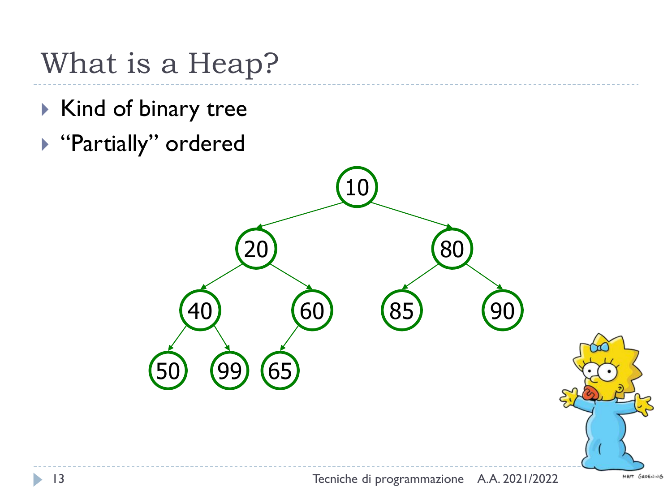#### What is a Heap?

- ▶ Kind of binary tree
- "Partially" ordered

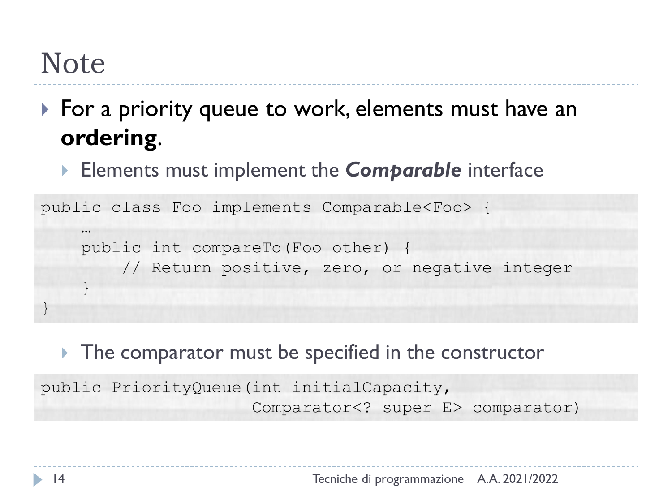#### Note

▶ For a priority queue to work, elements must have an **ordering**.

Elements must implement the *Comparable* interface

```
public class Foo implements Comparable<Foo> {
    …
    public int compareTo(Foo other) {
        // Return positive, zero, or negative integer
    }
}
```
The comparator must be specified in the constructor

public PriorityQueue(int initialCapacity, Comparator<? super E> comparator)